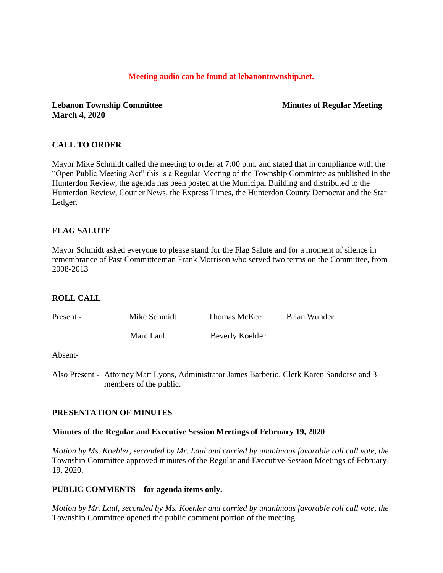#### **Meeting audio can be found at lebanontownship.net.**

**Lebanon Township Committee Minutes of Regular Meeting March 4, 2020**

# **CALL TO ORDER**

Mayor Mike Schmidt called the meeting to order at 7:00 p.m. and stated that in compliance with the "Open Public Meeting Act" this is a Regular Meeting of the Township Committee as published in the Hunterdon Review, the agenda has been posted at the Municipal Building and distributed to the Hunterdon Review, Courier News, the Express Times, the Hunterdon County Democrat and the Star Ledger.

# **FLAG SALUTE**

Mayor Schmidt asked everyone to please stand for the Flag Salute and for a moment of silence in remembrance of Past Committeeman Frank Morrison who served two terms on the Committee, from 2008-2013

#### **ROLL CALL**

| Present - | Mike Schmidt | Thomas McKee    | <b>Brian Wunder</b> |
|-----------|--------------|-----------------|---------------------|
|           | Marc Laul    | Beverly Koehler |                     |

#### Absent-

Also Present - Attorney Matt Lyons, Administrator James Barberio, Clerk Karen Sandorse and 3 members of the public.

#### **PRESENTATION OF MINUTES**

#### **Minutes of the Regular and Executive Session Meetings of February 19, 2020**

*Motion by Ms. Koehler, seconded by Mr. Laul and carried by unanimous favorable roll call vote, the* Township Committee approved minutes of the Regular and Executive Session Meetings of February 19, 2020.

#### **PUBLIC COMMENTS – for agenda items only.**

*Motion by Mr. Laul, seconded by Ms. Koehler and carried by unanimous favorable roll call vote, the* Township Committee opened the public comment portion of the meeting.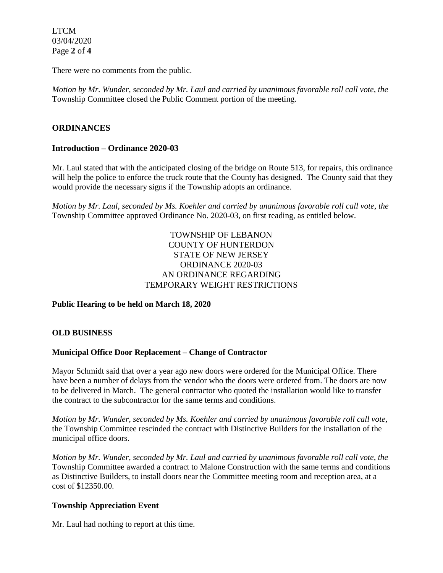LTCM 03/04/2020 Page **2** of **4**

There were no comments from the public.

*Motion by Mr. Wunder, seconded by Mr. Laul and carried by unanimous favorable roll call vote, the* Township Committee closed the Public Comment portion of the meeting.

# **ORDINANCES**

# **Introduction – Ordinance 2020-03**

Mr. Laul stated that with the anticipated closing of the bridge on Route 513, for repairs, this ordinance will help the police to enforce the truck route that the County has designed. The County said that they would provide the necessary signs if the Township adopts an ordinance.

*Motion by Mr. Laul, seconded by Ms. Koehler and carried by unanimous favorable roll call vote, the*  Township Committee approved Ordinance No. 2020-03, on first reading, as entitled below.

# TOWNSHIP OF LEBANON COUNTY OF HUNTERDON STATE OF NEW JERSEY ORDINANCE 2020-03 AN ORDINANCE REGARDING TEMPORARY WEIGHT RESTRICTIONS

# **Public Hearing to be held on March 18, 2020**

# **OLD BUSINESS**

# **Municipal Office Door Replacement – Change of Contractor**

Mayor Schmidt said that over a year ago new doors were ordered for the Municipal Office. There have been a number of delays from the vendor who the doors were ordered from. The doors are now to be delivered in March. The general contractor who quoted the installation would like to transfer the contract to the subcontractor for the same terms and conditions.

*Motion by Mr. Wunder, seconded by Ms. Koehler and carried by unanimous favorable roll call vote,* the Township Committee rescinded the contract with Distinctive Builders for the installation of the municipal office doors.

*Motion by Mr. Wunder, seconded by Mr. Laul and carried by unanimous favorable roll call vote, the* Township Committee awarded a contract to Malone Construction with the same terms and conditions as Distinctive Builders, to install doors near the Committee meeting room and reception area, at a cost of \$12350.00.

# **Township Appreciation Event**

Mr. Laul had nothing to report at this time.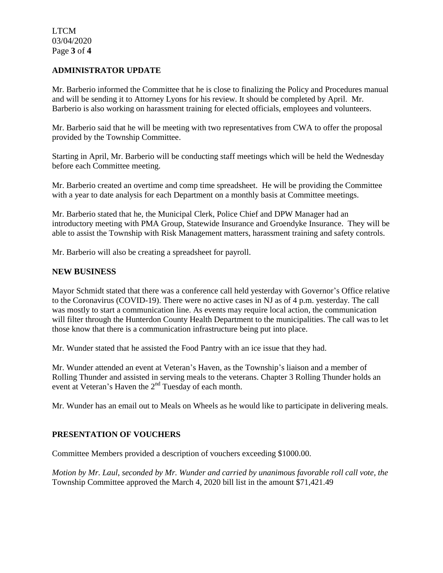LTCM 03/04/2020 Page **3** of **4**

### **ADMINISTRATOR UPDATE**

Mr. Barberio informed the Committee that he is close to finalizing the Policy and Procedures manual and will be sending it to Attorney Lyons for his review. It should be completed by April. Mr. Barberio is also working on harassment training for elected officials, employees and volunteers.

Mr. Barberio said that he will be meeting with two representatives from CWA to offer the proposal provided by the Township Committee.

Starting in April, Mr. Barberio will be conducting staff meetings which will be held the Wednesday before each Committee meeting.

Mr. Barberio created an overtime and comp time spreadsheet. He will be providing the Committee with a year to date analysis for each Department on a monthly basis at Committee meetings.

Mr. Barberio stated that he, the Municipal Clerk, Police Chief and DPW Manager had an introductory meeting with PMA Group, Statewide Insurance and Groendyke Insurance. They will be able to assist the Township with Risk Management matters, harassment training and safety controls.

Mr. Barberio will also be creating a spreadsheet for payroll.

#### **NEW BUSINESS**

Mayor Schmidt stated that there was a conference call held yesterday with Governor's Office relative to the Coronavirus (COVID-19). There were no active cases in NJ as of 4 p.m. yesterday. The call was mostly to start a communication line. As events may require local action, the communication will filter through the Hunterdon County Health Department to the municipalities. The call was to let those know that there is a communication infrastructure being put into place.

Mr. Wunder stated that he assisted the Food Pantry with an ice issue that they had.

Mr. Wunder attended an event at Veteran's Haven, as the Township's liaison and a member of Rolling Thunder and assisted in serving meals to the veterans. Chapter 3 Rolling Thunder holds an event at Veteran's Haven the 2<sup>nd</sup> Tuesday of each month.

Mr. Wunder has an email out to Meals on Wheels as he would like to participate in delivering meals.

# **PRESENTATION OF VOUCHERS**

Committee Members provided a description of vouchers exceeding \$1000.00.

*Motion by Mr. Laul, seconded by Mr. Wunder and carried by unanimous favorable roll call vote, the* Township Committee approved the March 4, 2020 bill list in the amount \$71,421.49